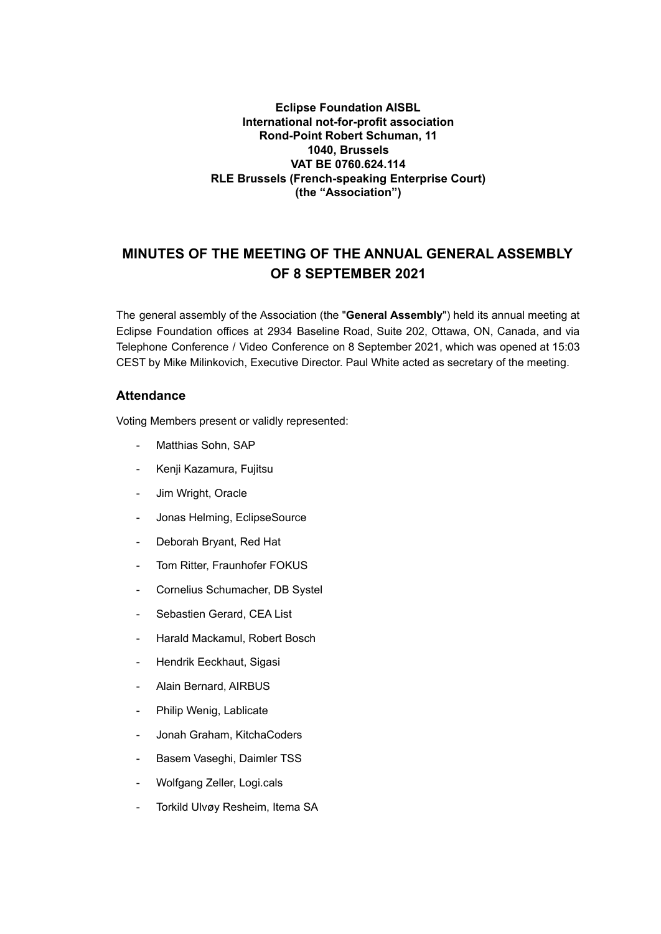## **Eclipse Foundation AISBL International not-for-profit association Rond-Point Robert Schuman, 11 1040, Brussels VAT BE 0760.624.114 RLE Brussels (French-speaking Enterprise Court) (the "Association")**

## **MINUTES OF THE MEETING OF THE ANNUAL GENERAL ASSEMBLY OF 8 SEPTEMBER 2021**

The general assembly of the Association (the "**General Assembly**") held its annual meeting at Eclipse Foundation offices at 2934 Baseline Road, Suite 202, Ottawa, ON, Canada, and via Telephone Conference / Video Conference on 8 September 2021, which was opened at 15:03 CEST by Mike Milinkovich, Executive Director. Paul White acted as secretary of the meeting.

## **Attendance**

Voting Members present or validly represented:

- Matthias Sohn, SAP
- Kenji Kazamura, Fujitsu
- Jim Wright, Oracle
- Jonas Helming, EclipseSource
- Deborah Bryant, Red Hat
- Tom Ritter, Fraunhofer FOKUS
- Cornelius Schumacher, DB Systel
- Sebastien Gerard, CEA List
- Harald Mackamul, Robert Bosch
- Hendrik Eeckhaut, Sigasi
- Alain Bernard, AIRBUS
- Philip Wenig, Lablicate
- Jonah Graham, KitchaCoders
- Basem Vaseghi, Daimler TSS
- Wolfgang Zeller, Logi.cals
- Torkild Ulvøy Resheim, Itema SA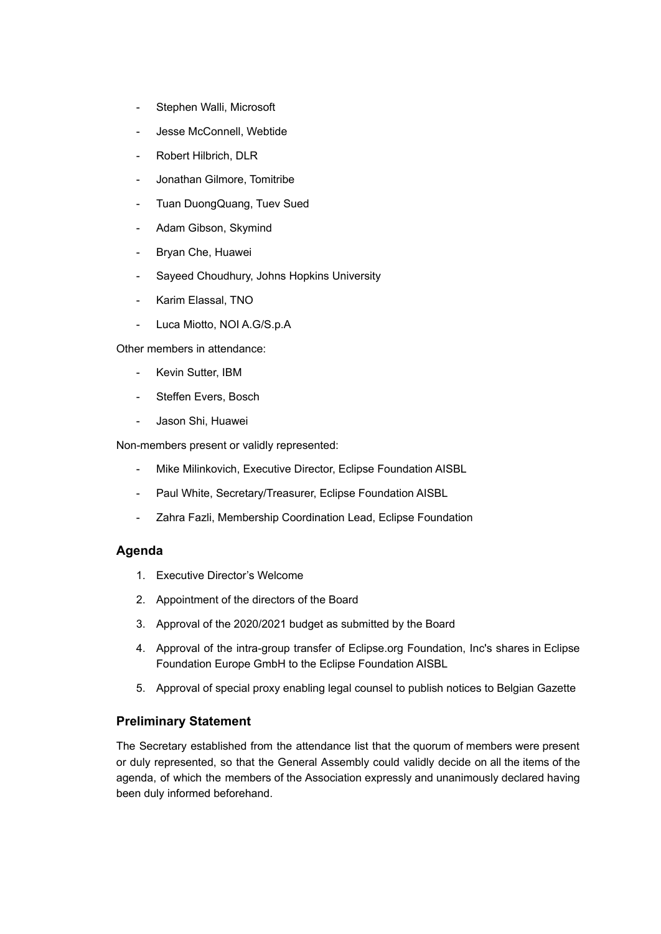- Stephen Walli, Microsoft
- Jesse McConnell, Webtide
- Robert Hilbrich, DLR
- Jonathan Gilmore, Tomitribe
- Tuan DuongQuang, Tuev Sued
- Adam Gibson, Skymind
- Bryan Che, Huawei
- Sayeed Choudhury, Johns Hopkins University
- Karim Elassal, TNO
- Luca Miotto, NOI A.G/S.p.A

Other members in attendance:

- Kevin Sutter, IBM
- Steffen Evers, Bosch
- Jason Shi, Huawei

Non-members present or validly represented:

- Mike Milinkovich, Executive Director, Eclipse Foundation AISBL
- Paul White, Secretary/Treasurer, Eclipse Foundation AISBL
- Zahra Fazli, Membership Coordination Lead, Eclipse Foundation

#### **Agenda**

- 1. Executive Director's Welcome
- 2. Appointment of the directors of the Board
- 3. Approval of the 2020/2021 budget as submitted by the Board
- 4. Approval of the intra-group transfer of Eclipse.org Foundation, Inc's shares in Eclipse Foundation Europe GmbH to the Eclipse Foundation AISBL
- 5. Approval of special proxy enabling legal counsel to publish notices to Belgian Gazette

## **Preliminary Statement**

The Secretary established from the attendance list that the quorum of members were present or duly represented, so that the General Assembly could validly decide on all the items of the agenda, of which the members of the Association expressly and unanimously declared having been duly informed beforehand.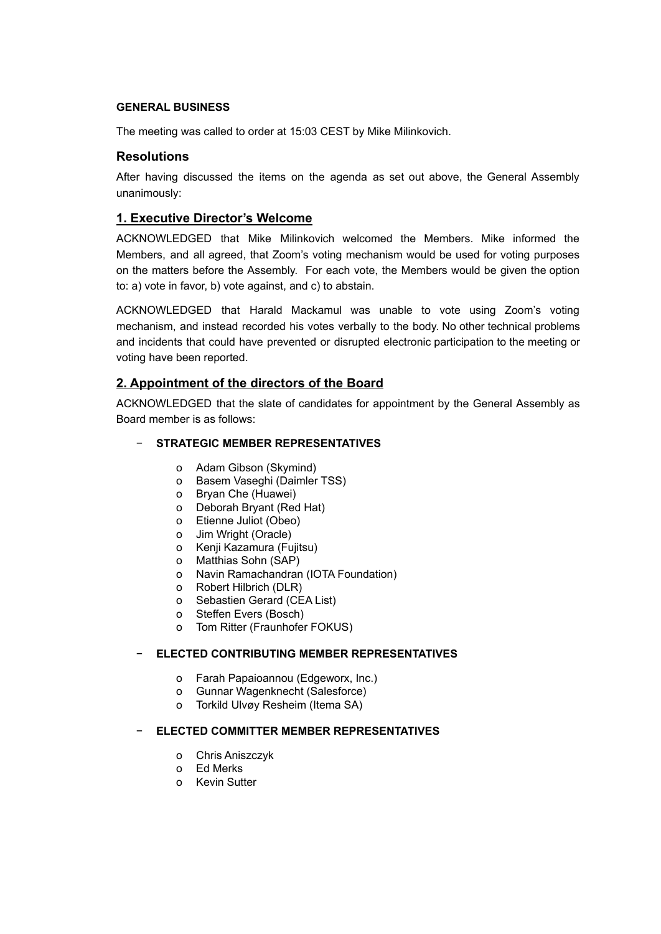#### **GENERAL BUSINESS**

The meeting was called to order at 15:03 CEST by Mike Milinkovich.

## **Resolutions**

After having discussed the items on the agenda as set out above, the General Assembly unanimously:

## **1. Executive Director's Welcome**

ACKNOWLEDGED that Mike Milinkovich welcomed the Members. Mike informed the Members, and all agreed, that Zoom's voting mechanism would be used for voting purposes on the matters before the Assembly. For each vote, the Members would be given the option to: a) vote in favor, b) vote against, and c) to abstain.

ACKNOWLEDGED that Harald Mackamul was unable to vote using Zoom's voting mechanism, and instead recorded his votes verbally to the body. No other technical problems and incidents that could have prevented or disrupted electronic participation to the meeting or voting have been reported.

## **2. Appointment of the directors of the Board**

ACKNOWLEDGED that the slate of candidates for appointment by the General Assembly as Board member is as follows:

## − **STRATEGIC MEMBER REPRESENTATIVES**

- o Adam Gibson (Skymind)
- o Basem Vaseghi (Daimler TSS)
- o Bryan Che (Huawei)
- o Deborah Bryant (Red Hat)
- o Etienne Juliot (Obeo)
- o Jim Wright (Oracle)
- o Kenji Kazamura (Fujitsu)
- o Matthias Sohn (SAP)
- o Navin Ramachandran (IOTA Foundation)
- o Robert Hilbrich (DLR)
- o Sebastien Gerard (CEA List)
- o Steffen Evers (Bosch)
- o Tom Ritter (Fraunhofer FOKUS)

#### − **ELECTED CONTRIBUTING MEMBER REPRESENTATIVES**

- o Farah Papaioannou (Edgeworx, Inc.)
- o Gunnar Wagenknecht (Salesforce)
- o Torkild Ulvøy Resheim (Itema SA)

#### − **ELECTED COMMITTER MEMBER REPRESENTATIVES**

- o Chris Aniszczyk
- o Ed Merks
- o Kevin Sutter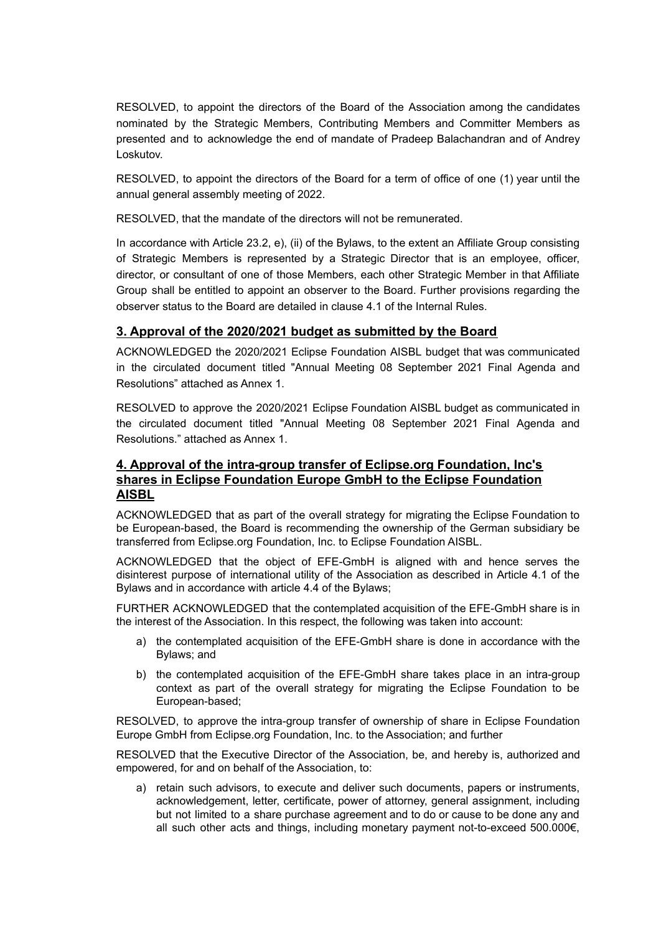RESOLVED, to appoint the directors of the Board of the Association among the candidates nominated by the Strategic Members, Contributing Members and Committer Members as presented and to acknowledge the end of mandate of Pradeep Balachandran and of Andrey Loskutov.

RESOLVED, to appoint the directors of the Board for a term of office of one (1) year until the annual general assembly meeting of 2022.

RESOLVED, that the mandate of the directors will not be remunerated.

In accordance with Article 23.2, e), (ii) of the Bylaws, to the extent an Affiliate Group consisting of Strategic Members is represented by a Strategic Director that is an employee, officer, director, or consultant of one of those Members, each other Strategic Member in that Affiliate Group shall be entitled to appoint an observer to the Board. Further provisions regarding the observer status to the Board are detailed in clause 4.1 of the Internal Rules.

## **3. Approval of the 2020/2021 budget as submitted by the Board**

ACKNOWLEDGED the 2020/2021 Eclipse Foundation AISBL budget that was communicated in the circulated document titled "Annual Meeting 08 September 2021 Final Agenda and Resolutions" attached as Annex 1.

RESOLVED to approve the 2020/2021 Eclipse Foundation AISBL budget as communicated in the circulated document titled "Annual Meeting 08 September 2021 Final Agenda and Resolutions." attached as Annex 1.

## **4. Approval of the intra-group transfer of Eclipse.org Foundation, Inc's shares in Eclipse Foundation Europe GmbH to the Eclipse Foundation AISBL**

ACKNOWLEDGED that as part of the overall strategy for migrating the Eclipse Foundation to be European-based, the Board is recommending the ownership of the German subsidiary be transferred from Eclipse.org Foundation, Inc. to Eclipse Foundation AISBL.

ACKNOWLEDGED that the object of EFE-GmbH is aligned with and hence serves the disinterest purpose of international utility of the Association as described in Article 4.1 of the Bylaws and in accordance with article 4.4 of the Bylaws;

FURTHER ACKNOWLEDGED that the contemplated acquisition of the EFE-GmbH share is in the interest of the Association. In this respect, the following was taken into account:

- a) the contemplated acquisition of the EFE-GmbH share is done in accordance with the Bylaws; and
- b) the contemplated acquisition of the EFE-GmbH share takes place in an intra-group context as part of the overall strategy for migrating the Eclipse Foundation to be European-based;

RESOLVED, to approve the intra-group transfer of ownership of share in Eclipse Foundation Europe GmbH from Eclipse.org Foundation, Inc. to the Association; and further

RESOLVED that the Executive Director of the Association, be, and hereby is, authorized and empowered, for and on behalf of the Association, to:

a) retain such advisors, to execute and deliver such documents, papers or instruments, acknowledgement, letter, certificate, power of attorney, general assignment, including but not limited to a share purchase agreement and to do or cause to be done any and all such other acts and things, including monetary payment not-to-exceed 500.000€,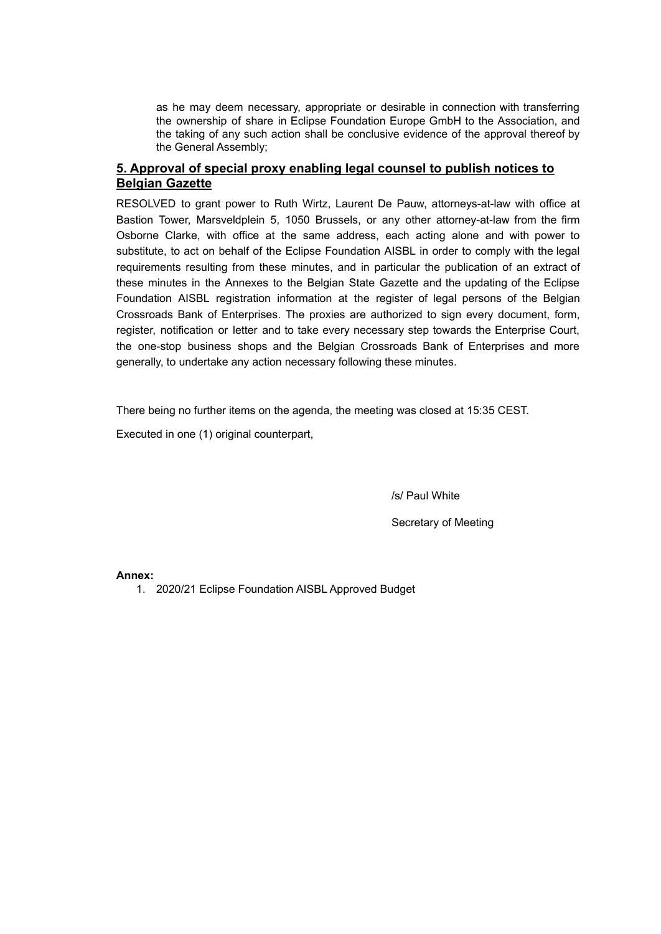as he may deem necessary, appropriate or desirable in connection with transferring the ownership of share in Eclipse Foundation Europe GmbH to the Association, and the taking of any such action shall be conclusive evidence of the approval thereof by the General Assembly;

## **5. Approval of special proxy enabling legal counsel to publish notices to Belgian Gazette**

RESOLVED to grant power to Ruth Wirtz, Laurent De Pauw, attorneys-at-law with office at Bastion Tower, Marsveldplein 5, 1050 Brussels, or any other attorney-at-law from the firm Osborne Clarke, with office at the same address, each acting alone and with power to substitute, to act on behalf of the Eclipse Foundation AISBL in order to comply with the legal requirements resulting from these minutes, and in particular the publication of an extract of these minutes in the Annexes to the Belgian State Gazette and the updating of the Eclipse Foundation AISBL registration information at the register of legal persons of the Belgian Crossroads Bank of Enterprises. The proxies are authorized to sign every document, form, register, notification or letter and to take every necessary step towards the Enterprise Court, the one-stop business shops and the Belgian Crossroads Bank of Enterprises and more generally, to undertake any action necessary following these minutes.

There being no further items on the agenda, the meeting was closed at 15:35 CEST.

Executed in one (1) original counterpart,

/s/ Paul White

Secretary of Meeting

**Annex:**

1. 2020/21 Eclipse Foundation AISBL Approved Budget